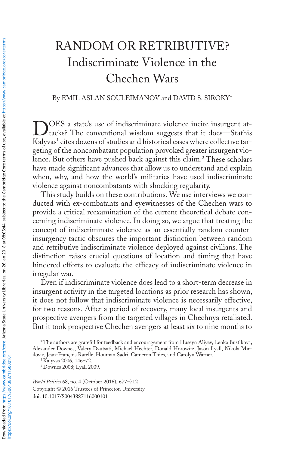# RANDOM OR RETRIBUTIVE? Indiscriminate Violence in the Chechen Wars

## By EMIL ASLAN SOULEIMANOV and DAVID S. SIROKY\*

DOES a state's use of indiscriminate violence incite insurgent at-<br>tacks? The conventional wisdom suggests that it does—Stathis Kalyvas<sup>1</sup> cites dozens of studies and historical cases where collective targeting of the noncombatant population provoked greater insurgent violence. But others have pushed back against this claim.2 These scholars have made significant advances that allow us to understand and explain when, why, and how the world's militaries have used indiscriminate violence against noncombatants with shocking regularity.

This study builds on these contributions. We use interviews we conducted with ex-combatants and eyewitnesses of the Chechen wars to provide a critical reexamination of the current theoretical debate concerning indiscriminate violence. In doing so, we argue that treating the concept of indiscriminate violence as an essentially random counterinsurgency tactic obscures the important distinction between random and retributive indiscriminate violence deployed against civilians. The distinction raises crucial questions of location and timing that have hindered efforts to evaluate the efficacy of indiscriminate violence in irregular war.

Even if indiscriminate violence does lead to a short-term decrease in insurgent activity in the targeted locations as prior research has shown, it does not follow that indiscriminate violence is necessarily effective, for two reasons. After a period of recovery, many local insurgents and prospective avengers from the targeted villages in Chechnya retaliated. But it took prospective Chechen avengers at least six to nine months to

<sup>1</sup> Kalyvas 2006, 146–72.

<sup>2</sup> Downes 2008; Lyall 2009.

*World Politics* 68, no. 4 (October 2016)*,* 677–712 Copyright © 2016 Trustees of Princeton University doi: 10.1017/S0043887116000101

<sup>\*</sup>The authors are grateful for feedback and encouragement from Huseyn Aliyev, Lenka Bustikova, Alexander Downes, Valery Dzutsati, Michael Hechter, Donald Horowitz, Jason Lyall, Nikola Mirilovic, Jean-François Ratelle, Houman Sadri, Cameron Thies, and Carolyn Warner.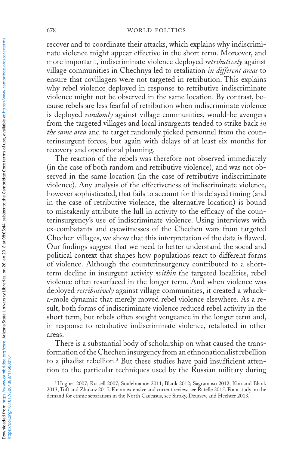recover and to coordinate their attacks, which explains why indiscriminate violence might appear effective in the short term. Moreover, and more important, indiscriminate violence deployed *retributively* against village communities in Chechnya led to retaliation *in different areas* to ensure that covillagers were not targeted in retribution. This explains why rebel violence deployed in response to retributive indiscriminate violence might not be observed in the same location. By contrast, because rebels are less fearful of retribution when indiscriminate violence is deployed *randomly* against village communities, would-be avengers from the targeted villages and local insurgents tended to strike back *in the same area* and to target randomly picked personnel from the counterinsurgent forces, but again with delays of at least six months for recovery and operational planning.

The reaction of the rebels was therefore not observed immediately (in the case of both random and retributive violence), and was not observed in the same location (in the case of retributive indiscriminate violence). Any analysis of the effectiveness of indiscriminate violence, however sophisticated, that fails to account for this delayed timing (and in the case of retributive violence, the alternative location) is bound to mistakenly attribute the lull in activity to the efficacy of the counterinsurgency's use of indiscriminate violence. Using interviews with ex-combatants and eyewitnesses of the Chechen wars from targeted Chechen villages, we show that this interpretation of the data is flawed. Our findings suggest that we need to better understand the social and political context that shapes how populations react to different forms of violence. Although the counterinsurgency contributed to a shortterm decline in insurgent activity *within* the targeted localities, rebel violence often resurfaced in the longer term. And when violence was deployed *retributively* against village communities, it created a whacka-mole dynamic that merely moved rebel violence elsewhere. As a result, both forms of indiscriminate violence reduced rebel activity in the short term, but rebels often sought vengeance in the longer term and, in response to retributive indiscriminate violence, retaliated in other areas.

There is a substantial body of scholarship on what caused the transformation of the Chechen insurgency from an ethnonationalist rebellion to a jihadist rebellion.<sup>3</sup> But these studies have paid insufficient attention to the particular techniques used by the Russian military during

<sup>3</sup> Hughes 2007; Russell 2007; Souleimanov 2011; Blank 2012; Sagramoso 2012; Kim and Blank 2013; Toft and Zhukov 2015. For an extensive and current review, see Ratelle 2015. For a study on the demand for ethnic separatism in the North Caucasus, see Siroky, Dzutsev, and Hechter 2013.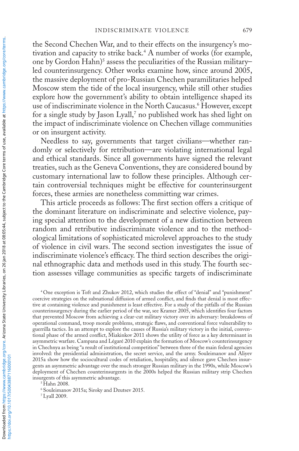the Second Chechen War, and to their effects on the insurgency's motivation and capacity to strike back.4 A number of works (for example, one by Gordon Hahn)<sup>5</sup> assess the peculiarities of the Russian military– led counterinsurgency. Other works examine how, since around 2005, the massive deployment of pro-Russian Chechen paramilitaries helped Moscow stem the tide of the local insurgency, while still other studies explore how the government's ability to obtain intelligence shaped its use of indiscriminate violence in the North Caucasus.6 However, except for a single study by Jason Lyall,<sup>7</sup> no published work has shed light on the impact of indiscriminate violence on Chechen village communities or on insurgent activity.

Needless to say, governments that target civilians—whether randomly or selectively for retribution—are violating international legal and ethical standards. Since all governments have signed the relevant treaties, such as the Geneva Conventions, they are considered bound by customary international law to follow these principles. Although certain controversial techniques might be effective for counterinsurgent forces, these armies are nonetheless committing war crimes.

This article proceeds as follows: The first section offers a critique of the dominant literature on indiscriminate and selective violence, paying special attention to the development of a new distinction between random and retributive indiscriminate violence and to the methodological limitations of sophisticated microlevel approaches to the study of violence in civil wars. The second section investigates the issue of indiscriminate violence's efficacy. The third section describes the original ethnographic data and methods used in this study. The fourth section assesses village communities as specific targets of indiscriminate

<sup>6</sup> Souleimanov 2015a; Siroky and Dzutsev 2015.

<sup>7</sup> Lyall 2009.

<sup>4</sup> One exception is Toft and Zhukov 2012, which studies the effect of "denial" and "punishment" coercive strategies on the subnational diffusion of armed conflict, and finds that denial is most effective at containing violence and punishment is least effective. For a study of the pitfalls of the Russian counterinsurgency during the earlier period of the war, see Kramer 2005, which identifies four factors that prevented Moscow from achieving a clear-cut military victory over its adversary: breakdowns of operational command, troop morale problems, strategic flaws, and conventional force vulnerability to guerrilla tactics. In an attempt to explore the causes of Russia's military victory in the initial, conventional phase of the armed conflict, Miakinkov 2011 shows the utility of force as a key determinant in asymmetric warfare. Campana and Légaré 2010 explain the formation of Moscow's counterinsurgency in Chechnya as being "a result of institutional competition" between three of the main federal agencies involved: the presidential administration, the secret service, and the army. Souleimanov and Aliyev 2015a show how the sociocultural codes of retaliation, hospitality, and silence gave Chechen insurgents an asymmetric advantage over the much stronger Russian military in the 1990s, while Moscow's deployment of Chechen counterinsurgents in the 2000s helped the Russian military strip Chechen insurgents of this asymmetric advantage. 5 Hahn 2008.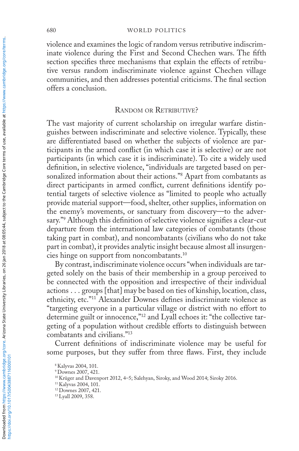violence and examines the logic of random versus retributive indiscriminate violence during the First and Second Chechen wars. The fifth section specifies three mechanisms that explain the effects of retributive versus random indiscriminate violence against Chechen village communities, and then addresses potential criticisms. The final section offers a conclusion.

### RANDOM OR RETRIBUTIVE?

The vast majority of current scholarship on irregular warfare distinguishes between indiscriminate and selective violence. Typically, these are differentiated based on whether the subjects of violence are participants in the armed conflict (in which case it is selective) or are not participants (in which case it is indiscriminate). To cite a widely used definition, in selective violence, "individuals are targeted based on personalized information about their actions."8 Apart from combatants as direct participants in armed conflict, current definitions identify potential targets of selective violence as "limited to people who actually provide material support—food, shelter, other supplies, information on the enemy's movements, or sanctuary from discovery—to the adversary."9 Although this definition of selective violence signifies a clear-cut departure from the international law categories of combatants (those taking part in combat), and noncombatants (civilians who do not take part in combat), it provides analytic insight because almost all insurgencies hinge on support from noncombatants.<sup>10</sup>

By contrast, indiscriminate violence occurs "when individuals are targeted solely on the basis of their membership in a group perceived to be connected with the opposition and irrespective of their individual actions . . . groups [that] may be based on ties of kinship, location, class, ethnicity, etc."11 Alexander Downes defines indiscriminate violence as "targeting everyone in a particular village or district with no effort to determine guilt or innocence,"<sup>12</sup> and Lyall echoes it: "the collective targeting of a population without credible efforts to distinguish between combatants and civilians."13

Current definitions of indiscriminate violence may be useful for some purposes, but they suffer from three flaws. First, they include

<sup>8</sup> Kalyvas 2004, 101.

<sup>9</sup> Downes 2007, 421.

<sup>10</sup> Krüger and Davenport 2012, 4–5; Salehyan, Siroky, and Wood 2014; Siroky 2016.

<sup>11</sup> Kalyvas 2004, 101.

<sup>12</sup> Downes 2007, 421.

<sup>&</sup>lt;sup>13</sup> Lyall 2009, 358.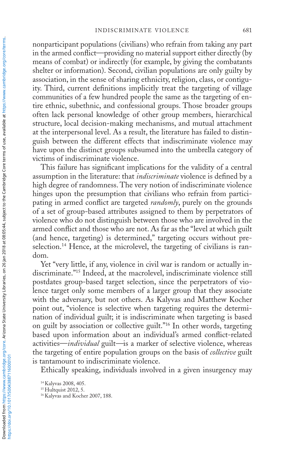nonparticipant populations (civilians) who refrain from taking any part in the armed conflict—providing no material support either directly (by means of combat) or indirectly (for example, by giving the combatants shelter or information). Second, civilian populations are only guilty by association, in the sense of sharing ethnicity, religion, class, or contiguity. Third, current definitions implicitly treat the targeting of village communities of a few hundred people the same as the targeting of entire ethnic, subethnic, and confessional groups. Those broader groups often lack personal knowledge of other group members, hierarchical structure, local decision-making mechanisms, and mutual attachment at the interpersonal level. As a result, the literature has failed to distinguish between the different effects that indiscriminate violence may have upon the distinct groups subsumed into the umbrella category of victims of indiscriminate violence.

This failure has significant implications for the validity of a central assumption in the literature: that *indiscriminate* violence is defined by a high degree of randomness. The very notion of indiscriminate violence hinges upon the presumption that civilians who refrain from participating in armed conflict are targeted *randomly*, purely on the grounds of a set of group-based attributes assigned to them by perpetrators of violence who do not distinguish between those who are involved in the armed conflict and those who are not. As far as the "level at which guilt (and hence, targeting) is determined," targeting occurs without preselection.<sup>14</sup> Hence, at the microlevel, the targeting of civilians is random.

Yet "very little, if any, violence in civil war is random or actually indiscriminate."15 Indeed, at the macrolevel, indiscriminate violence still postdates group-based target selection, since the perpetrators of violence target only some members of a larger group that they associate with the adversary, but not others. As Kalyvas and Matthew Kocher point out, "violence is selective when targeting requires the determination of individual guilt; it is indiscriminate when targeting is based on guilt by association or collective guilt."16 In other words, targeting based upon information about an individual's armed conflict-related activities—*individual* guilt*—*is a marker of selective violence, whereas the targeting of entire population groups on the basis of *collective* guilt is tantamount to indiscriminate violence.

Ethically speaking, individuals involved in a given insurgency may

<sup>14</sup> Kalyvas 2008, 405.

<sup>&</sup>lt;sup>15</sup> Hultquist 2012, 5.

<sup>&</sup>lt;sup>16</sup> Kalyvas and Kocher 2007, 188.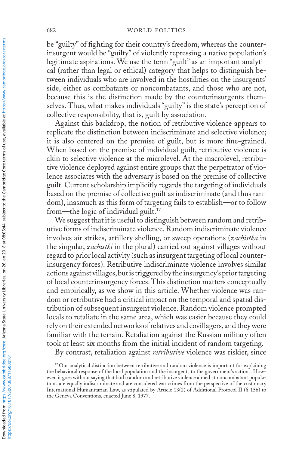be "guilty" of fighting for their country's freedom, whereas the counterinsurgent would be "guilty" of violently repressing a native population's legitimate aspirations. We use the term "guilt" as an important analytical (rather than legal or ethical) category that helps to distinguish between individuals who are involved in the hostilities on the insurgents' side, either as combatants or noncombatants, and those who are not, because this is the distinction made by the counterinsurgents themselves. Thus, what makes individuals "guilty" is the state's perception of collective responsibility, that is, guilt by association.

Against this backdrop, the notion of retributive violence appears to replicate the distinction between indiscriminate and selective violence; it is also centered on the premise of guilt, but is more fine-grained. When based on the premise of individual guilt, retributive violence is akin to selective violence at the microlevel. At the macrolevel, retributive violence deployed against entire groups that the perpetrator of violence associates with the adversary is based on the premise of collective guilt. Current scholarship implicitly regards the targeting of individuals based on the premise of collective guilt as indiscriminate (and thus random), inasmuch as this form of targeting fails to establish—or to follow from—the logic of individual guilt.<sup>17</sup>

We suggest that it is useful to distinguish between random and retributive forms of indiscriminate violence. Random indiscriminate violence involves air strikes, artillery shelling, or sweep operations (*zachistka* in the singular, *zachistki* in the plural) carried out against villages without regard to prior local activity (such as insurgent targeting of local counterinsurgency forces). Retributive indiscriminate violence involves similar actions against villages, but is triggered by the insurgency's prior targeting of local counterinsurgency forces. This distinction matters conceptually and empirically, as we show in this article. Whether violence was random or retributive had a critical impact on the temporal and spatial distribution of subsequent insurgent violence. Random violence prompted locals to retaliate in the same area, which was easier because they could rely on their extended networks of relatives and covillagers, and they were familiar with the terrain. Retaliation against the Russian military often took at least six months from the initial incident of random targeting.

By contrast, retaliation against *retributive* violence was riskier, since

<sup>&</sup>lt;sup>17</sup> Our analytical distinction between retributive and random violence is important for explaining the behavioral response of the local population and the insurgents to the government's actions. However, it goes without saying that both random and retributive violence aimed at noncombatant populations are equally indiscriminate and are considered war crimes from the perspective of the customary International Humanitarian Law, as stipulated by Article 13(2) of Additional Protocol II (§ 156) to the Geneva Conventions, enacted June 8, 1977.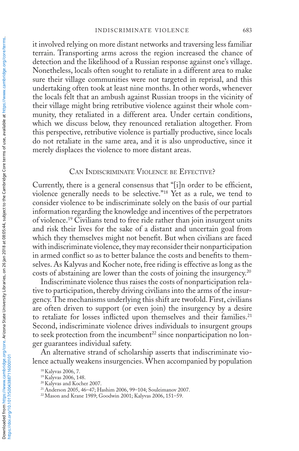it involved relying on more distant networks and traversing less familiar terrain. Transporting arms across the region increased the chance of detection and the likelihood of a Russian response against one's village. Nonetheless, locals often sought to retaliate in a different area to make sure their village communities were not targeted in reprisal, and this undertaking often took at least nine months. In other words, whenever the locals felt that an ambush against Russian troops in the vicinity of their village might bring retributive violence against their whole community, they retaliated in a different area. Under certain conditions, which we discuss below, they renounced retaliation altogether. From this perspective, retributive violence is partially productive, since locals do not retaliate in the same area, and it is also unproductive, since it merely displaces the violence to more distant areas.

#### Can Indiscriminate Violence be Effective?

Currently, there is a general consensus that "[i]n order to be efficient, violence generally needs to be selective."18 Yet as a rule, we tend to consider violence to be indiscriminate solely on the basis of our partial information regarding the knowledge and incentives of the perpetrators of violence.19 Civilians tend to free ride rather than join insurgent units and risk their lives for the sake of a distant and uncertain goal from which they themselves might not benefit. But when civilians are faced with indiscriminate violence, they may reconsider their nonparticipation in armed conflict so as to better balance the costs and benefits to themselves. As Kalyvas and Kocher note, free riding is effective as long as the costs of abstaining are lower than the costs of joining the insurgency.20

Indiscriminate violence thus raises the costs of nonparticipation relative to participation, thereby driving civilians into the arms of the insurgency. The mechanisms underlying this shift are twofold. First, civilians are often driven to support (or even join) the insurgency by a desire to retaliate for losses inflicted upon themselves and their families.<sup>21</sup> Second, indiscriminate violence drives individuals to insurgent groups to seek protection from the incumbent $^{22}$  since nonparticipation no longer guarantees individual safety.

An alternative strand of scholarship asserts that indiscriminate violence actually weakens insurgencies. When accompanied by population

https://doi.org/10.1017/S0043887116000101

<sup>18</sup> Kalyvas 2006, 7.

<sup>19</sup> Kalyvas 2006, 148.

<sup>20</sup> Kalyvas and Kocher 2007.

<sup>21</sup> Anderson 2005, 46–47; Hashim 2006, 99–104; Souleimanov 2007.

<sup>22</sup> Mason and Krane 1989; Goodwin 2001; Kalyvas 2006, 151–59.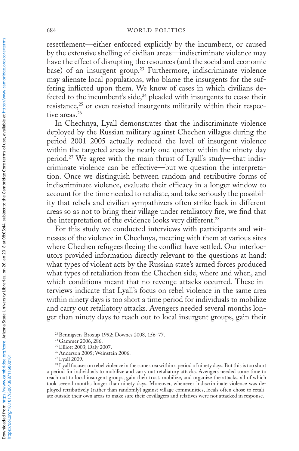resettlement—either enforced explicitly by the incumbent, or caused by the extensive shelling of civilian areas—indiscriminate violence may have the effect of disrupting the resources (and the social and economic base) of an insurgent group.<sup>23</sup> Furthermore, indiscriminate violence may alienate local populations, who blame the insurgents for the suffering inflicted upon them. We know of cases in which civilians defected to the incumbent's side, $24$  pleaded with insurgents to cease their resistance,<sup>25</sup> or even resisted insurgents militarily within their respective areas.<sup>26</sup>

In Chechnya, Lyall demonstrates that the indiscriminate violence deployed by the Russian military against Chechen villages during the period 2001–2005 actually reduced the level of insurgent violence within the targeted areas by nearly one-quarter within the ninety-day period.27 We agree with the main thrust of Lyall's study—that indiscriminate violence can be effective—but we question the interpretation. Once we distinguish between random and retributive forms of indiscriminate violence, evaluate their efficacy in a longer window to account for the time needed to retaliate, and take seriously the possibility that rebels and civilian sympathizers often strike back in different areas so as not to bring their village under retaliatory fire, we find that the interpretation of the evidence looks very different.<sup>28</sup>

For this study we conducted interviews with participants and witnesses of the violence in Chechnya, meeting with them at various sites where Chechen refugees fleeing the conflict have settled. Our interlocutors provided information directly relevant to the questions at hand: what types of violent acts by the Russian state's armed forces produced what types of retaliation from the Chechen side, where and when, and which conditions meant that no revenge attacks occurred. These interviews indicate that Lyall's focus on rebel violence in the same area within ninety days is too short a time period for individuals to mobilize and carry out retaliatory attacks. Avengers needed several months longer than ninety days to reach out to local insurgent groups, gain their

<sup>23</sup> Bennigsen-Broxup 1992; Downes 2008, 156–77.

<sup>&</sup>lt;sup>24</sup> Gammer 2006, 286.

<sup>25</sup>Elliott 2003; Daly 2007.

<sup>26</sup> Anderson 2005; Weinstein 2006.

<sup>&</sup>lt;sup>27</sup> Lyall 2009.

<sup>&</sup>lt;sup>28</sup> Lyall focuses on rebel violence in the same area within a period of ninety days. But this is too short a period for individuals to mobilize and carry out retaliatory attacks. Avengers needed some time to reach out to local insurgent groups, gain their trust, mobilize, and organize the attacks, all of which took several months longer than ninety days. Moreover, whenever indiscriminate violence was deployed retributively (rather than randomly) against village communities, locals often chose to retaliate outside their own areas to make sure their covillagers and relatives were not attacked in response.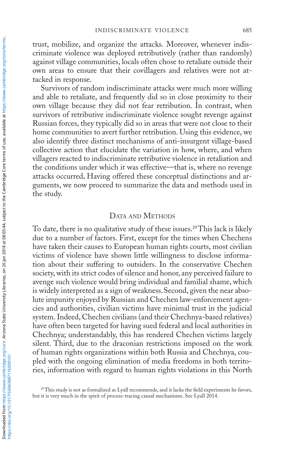trust, mobilize, and organize the attacks. Moreover, whenever indiscriminate violence was deployed retributively (rather than randomly) against village communities, locals often chose to retaliate outside their own areas to ensure that their covillagers and relatives were not attacked in response.

Survivors of random indiscriminate attacks were much more willing and able to retaliate, and frequently did so in close proximity to their own village because they did not fear retribution. In contrast, when survivors of retributive indiscriminate violence sought revenge against Russian forces, they typically did so in areas that were not close to their home communities to avert further retribution. Using this evidence, we also identify three distinct mechanisms of anti-insurgent village-based collective action that elucidate the variation in how, where, and when villagers reacted to indiscriminate retributive violence in retaliation and the conditions under which it was effective—that is, where no revenge attacks occurred**.** Having offered these conceptual distinctions and arguments, we now proceed to summarize the data and methods used in the study.

## DATA AND METHODS

To date, there is no qualitative study of these issues.29 This lack is likely due to a number of factors. First, except for the times when Chechens have taken their causes to European human rights courts, most civilian victims of violence have shown little willingness to disclose information about their suffering to outsiders. In the conservative Chechen society, with its strict codes of silence and honor, any perceived failure to avenge such violence would bring individual and familial shame, which is widely interpreted as a sign of weakness.Second, given the near absolute impunity enjoyed by Russian and Chechen law-enforcement agencies and authorities, civilian victims have minimal trust in the judicial system. Indeed, Chechen civilians (and their Chechnya-based relatives) have often been targeted for having sued federal and local authorities in Chechnya; understandably, this has rendered Chechen victims largely silent. Third, due to the draconian restrictions imposed on the work of human rights organizations within both Russia and Chechnya, coupled with the ongoing elimination of media freedoms in both territories, information with regard to human rights violations in this North

<sup>&</sup>lt;sup>29</sup>This study is not as formalized as Lyall recommends, and it lacks the field experiments he favors, but it is very much in the spirit of process-tracing causal mechanisms. See Lyall 2014.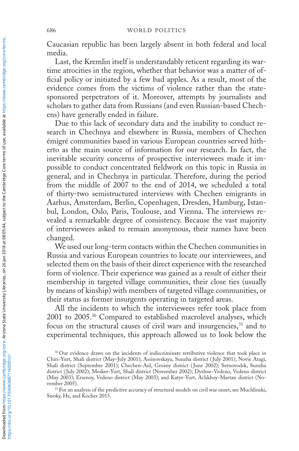Caucasian republic has been largely absent in both federal and local media.

Last, the Kremlin itself is understandably reticent regarding its wartime atrocities in the region, whether that behavior was a matter of official policy or initiated by a few bad apples. As a result, most of the evidence comes from the victims of violence rather than the statesponsored perpetrators of it. Moreover, attempts by journalists and scholars to gather data from Russians (and even Russian-based Chechens) have generally ended in failure.

Due to this lack of secondary data and the inability to conduct research in Chechnya and elsewhere in Russia, members of Chechen émigré communities based in various European countries served hitherto as the main source of information for our research. In fact, the inevitable security concerns of prospective interviewees made it impossible to conduct concentrated fieldwork on this topic in Russia in general, and in Chechnya in particular. Therefore, during the period from the middle of 2007 to the end of 2014, we scheduled a total of thirty-two semistructured interviews with Chechen emigrants in Aarhus, Amsterdam, Berlin, Copenhagen, Dresden, Hamburg, Istanbul, London, Oslo, Paris, Toulouse, and Vienna. The interviews revealed a remarkable degree of consistency. Because the vast majority of interviewees asked to remain anonymous, their names have been changed.

We used our long-term contacts within the Chechen communities in Russia and various European countries to locate our interviewees, and selected them on the basis of their direct experience with the researched form of violence. Their experience was gained as a result of either their membership in targeted village communities, their close ties (usually by means of kinship) with members of targeted village communities, or their status as former insurgents operating in targeted areas.

All the incidents to which the interviewees refer took place from 2001 to 2005.30 Compared to established macrolevel analyses, which focus on the structural causes of civil wars and insurgencies,<sup>31</sup> and to experimental techniques, this approach allowed us to look below the

<sup>&</sup>lt;sup>30</sup> Our evidence draws on the incidents of indiscriminate retributive violence that took place in Chiri-Yurt, Shali district (May–July 2001); Assinovskaya, Sunzha district ( July 2001); Novie Atagi, Shali district (September 2001); Chechen-Aul, Grozny district ( June 2002); Sernovodsk, Sunzha district ( July 2002); Mesker-Yurt, Shali district (November 2002); Dyshne-Vedeno, Vedeno district (May 2003); Ersenoy, Vedeno district (May 2003); and Katyr-Yurt, Achkhoy-Martan district (No-

vember 2005). 31 For an analysis of the predictive accuracy of structural models on civil war onset, see Muchlinski, Siroky, He, and Kocher 2015.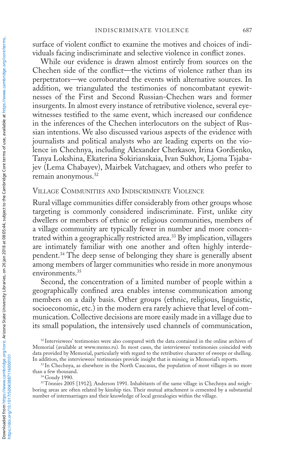surface of violent conflict to examine the motives and choices of individuals facing indiscriminate and selective violence in conflict zones.

While our evidence is drawn almost entirely from sources on the Chechen side of the conflict—the victims of violence rather than its perpetrators—we corroborated the events with alternative sources. In addition, we triangulated the testimonies of noncombatant eyewitnesses of the First and Second Russian-Chechen wars and former insurgents. In almost every instance of retributive violence, several eyewitnesses testified to the same event, which increased our confidence in the inferences of the Chechen interlocutors on the subject of Russian intentions. We also discussed various aspects of the evidence with journalists and political analysts who are leading experts on the violence in Chechnya, including Alexander Cherkasov, Irina Gordienko, Tanya Lokshina, Ekaterina Sokirianskaia, Ivan Sukhov, Ljoma Tsjabajev (Lema Chabayev), Mairbek Vatchagaev, and others who prefer to remain anonymous.32

## Village Communities and Indiscriminate Violence

Rural village communities differ considerably from other groups whose targeting is commonly considered indiscriminate. First, unlike city dwellers or members of ethnic or religious communities, members of a village community are typically fewer in number and more concentrated within a geographically restricted area.33 By implication, villagers are intimately familiar with one another and often highly interdependent.<sup>34</sup> The deep sense of belonging they share is generally absent among members of larger communities who reside in more anonymous environments.<sup>35</sup>

Second, the concentration of a limited number of people within a geographically confined area enables intense communication among members on a daily basis. Other groups (ethnic, religious, linguistic, socioeconomic, etc.) in the modern era rarely achieve that level of communication. Collective decisions are more easily made in a village due to its small population, the intensively used channels of communication,

<sup>&</sup>lt;sup>32</sup> Interviewees' testimonies were also compared with the data contained in the online archives of Memorial (available at www.memo.ru). In most cases, the interviewees' testimonies coincided with data provided by Memorial, particularly with regard to the retributive character of sweeps or shelling.

In addition, the interviewees' testimonies provide insight that is missing in Memorial's reports. 33 In Chechnya, as elsewhere in the North Caucasus, the population of most villages is no more than a few thousand.<br><sup>34</sup> Goudy 1990.

<sup>35</sup>Tönnies 2005 [1912]; Anderson 1991. Inhabitants of the same village in Chechnya and neighboring areas are often related by kinship ties. Their mutual attachment is cemented by a substantial number of intermarriages and their knowledge of local genealogies within the village.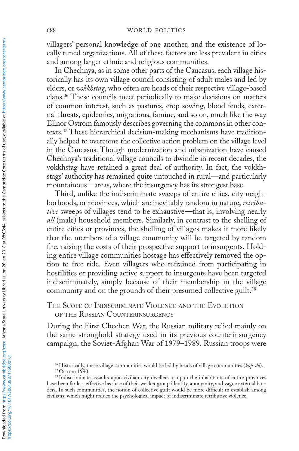villagers' personal knowledge of one another, and the existence of locally tuned organizations. All of these factors are less prevalent in cities and among larger ethnic and religious communities.

In Chechnya, as in some other parts of the Caucasus, each village historically has its own village council consisting of adult males and led by elders, or *vokkhstag*, who often are heads of their respective village-based clans.36 These councils meet periodically to make decisions on matters of common interest, such as pastures, crop sowing, blood feuds, external threats, epidemics, migrations, famine, and so on, much like the way Elinor Ostrom famously describes governing the commons in other contexts.37 These hierarchical decision-making mechanisms have traditionally helped to overcome the collective action problem on the village level in the Caucasus. Though modernization and urbanization have caused Chechnya's traditional village councils to dwindle in recent decades, the vokkhstag have retained a great deal of authority. In fact, the vokkhstags' authority has remained quite untouched in rural—and particularly mountainous—areas, where the insurgency has its strongest base.

Third, unlike the indiscriminate sweeps of entire cities, city neighborhoods, or provinces, which are inevitably random in nature, *retributive* sweeps of villages tend to be exhaustive*—*that is, involving nearly *all* (male) household members. Similarly, in contrast to the shelling of entire cities or provinces, the shelling of villages makes it more likely that the members of a village community will be targeted by random fire, raising the costs of their prospective support to insurgents. Holding entire village communities hostage has effectively removed the option to free ride. Even villagers who refrained from participating in hostilities or providing active support to insurgents have been targeted indiscriminately, simply because of their membership in the village community and on the grounds of their presumed collective guilt.<sup>38</sup>

The Scope of Indiscriminate Violence and the Evolution OF THE RUSSIAN COUNTERINSURGENCY

During the First Chechen War, the Russian military relied mainly on the same stronghold strategy used in its previous counterinsurgency campaign, the Soviet-Afghan War of 1979–1989. Russian troops were

<sup>36</sup> Historically, these village communities would be led by heads of village communities (*kup-da*). 37 Ostrom 1990.

<sup>38</sup> Indiscriminate assaults upon civilian city dwellers or upon the inhabitants of entire provinces have been far less effective because of their weaker group identity, anonymity, and vague external borders. In such communities, the notion of collective guilt would be more difficult to establish among civilians, which might reduce the psychological impact of indiscriminate retributive violence.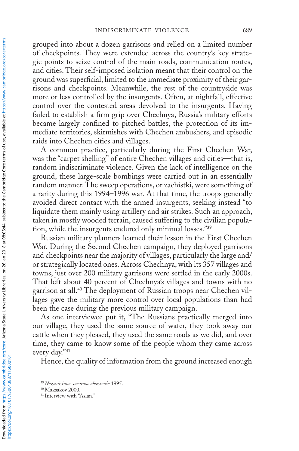grouped into about a dozen garrisons and relied on a limited number of checkpoints. They were extended across the country's key strategic points to seize control of the main roads, communication routes, and cities. Their self-imposed isolation meant that their control on the ground was superficial, limited to the immediate proximity of their garrisons and checkpoints. Meanwhile, the rest of the countryside was more or less controlled by the insurgents. Often, at nightfall, effective control over the contested areas devolved to the insurgents. Having failed to establish a firm grip over Chechnya, Russia's military efforts became largely confined to pitched battles, the protection of its immediate territories, skirmishes with Chechen ambushers, and episodic raids into Chechen cities and villages.

A common practice, particularly during the First Chechen War, was the "carpet shelling" of entire Chechen villages and cities—that is, random indiscriminate violence. Given the lack of intelligence on the ground, these large-scale bombings were carried out in an essentially random manner. The sweep operations, or zachistki, were something of a rarity during this 1994–1996 war. At that time, the troops generally avoided direct contact with the armed insurgents, seeking instead "to liquidate them mainly using artillery and air strikes. Such an approach, taken in mostly wooded terrain, caused suffering to the civilian population, while the insurgents endured only minimal losses."39

Russian military planners learned their lesson in the First Chechen War. During the Second Chechen campaign, they deployed garrisons and checkpoints near the majority of villages, particularly the large and/ or strategically located ones. Across Chechnya, with its 357 villages and towns, just over 200 military garrisons were settled in the early 2000s. That left about 40 percent of Chechnya's villages and towns with no garrison at all.40 The deployment of Russian troops near Chechen villages gave the military more control over local populations than had been the case during the previous military campaign.

As one interviewee put it, "The Russians practically merged into our village, they used the same source of water, they took away our cattle when they pleased, they used the same roads as we did, and over time, they came to know some of the people whom they came across every day."41

Hence, the quality of information from the ground increased enough

<sup>39</sup> *Nezavisimoe voennoe obozrenie* 1995. 40 Maksakov 2000.

<sup>41</sup> Interview with "Aslan."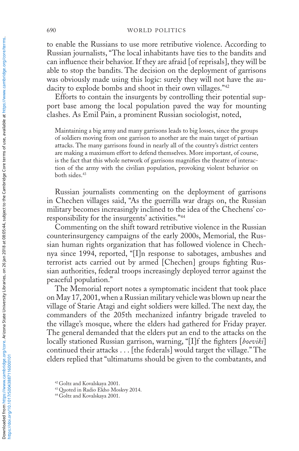to enable the Russians to use more retributive violence. According to Russian journalists, "The local inhabitants have ties to the bandits and can influence their behavior. If they are afraid [of reprisals], they will be able to stop the bandits. The decision on the deployment of garrisons was obviously made using this logic: surely they will not have the audacity to explode bombs and shoot in their own villages."42

Efforts to contain the insurgents by controlling their potential support base among the local population paved the way for mounting clashes. As Emil Pain, a prominent Russian sociologist, noted,

Maintaining a big army and many garrisons leads to big losses, since the groups of soldiers moving from one garrison to another are the main target of partisan attacks. The many garrisons found in nearly all of the country's district centers are making a maximum effort to defend themselves. More important, of course, is the fact that this whole network of garrisons magnifies the theatre of interaction of the army with the civilian population, provoking violent behavior on both sides.<sup>43</sup>

Russian journalists commenting on the deployment of garrisons in Chechen villages said, "As the guerrilla war drags on, the Russian military becomes increasingly inclined to the idea of the Chechens' coresponsibility for the insurgents' activities."44

Commenting on the shift toward retributive violence in the Russian counterinsurgency campaigns of the early 2000s, Memorial, the Russian human rights organization that has followed violence in Chechnya since 1994, reported, "[I]n response to sabotages, ambushes and terrorist acts carried out by armed [Chechen] groups fighting Russian authorities, federal troops increasingly deployed terror against the peaceful population."

The Memorial report notes a symptomatic incident that took place on May 17, 2001, when a Russian military vehicle was blown up near the village of Starie Atagi and eight soldiers were killed. The next day, the commanders of the 205th mechanized infantry brigade traveled to the village's mosque, where the elders had gathered for Friday prayer. The general demanded that the elders put an end to the attacks on the locally stationed Russian garrison, warning, "[I]f the fighters [*boeviki*] continued their attacks . . . [the federals] would target the village." The elders replied that "ultimatums should be given to the combatants, and

<sup>42</sup> Goltz and Kovalskaya 2001.

<sup>43</sup> Quoted in Radio Ekho Moskvy 2014.

<sup>44</sup> Goltz and Kovalskaya 2001.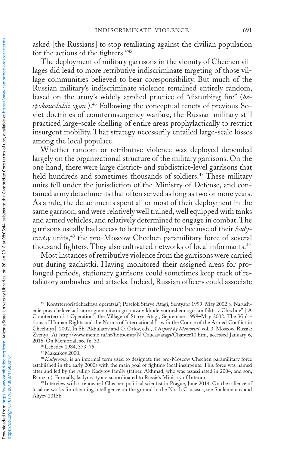asked [the Russians] to stop retaliating against the civilian population for the actions of the fighters."45

The deployment of military garrisons in the vicinity of Chechen villages did lead to more retributive indiscriminate targeting of those village communities believed to bear coresponsibility. But much of the Russian military's indiscriminate violence remained entirely random, based on the army's widely applied practice of "disturbing fire" (*bespokoiashchii ogon'*).46 Following the conceptual tenets of previous Soviet doctrines of counterinsurgency warfare, the Russian military still practiced large-scale shelling of entire areas prophylactically to restrict insurgent mobility. That strategy necessarily entailed large-scale losses among the local populace.

Whether random or retributive violence was deployed depended largely on the organizational structure of the military garrisons. On the one hand, there were large district- and subdistrict-level garrisons that held hundreds and sometimes thousands of soldiers.<sup>47</sup> These military units fell under the jurisdiction of the Ministry of Defense, and contained army detachments that often served as long as two or more years. As a rule, the detachments spent all or most of their deployment in the same garrison, and were relatively well trained, well equipped with tanks and armed vehicles, and relatively determined to engage in combat. The garrisons usually had access to better intelligence because of their *kadyrovtsy* units,48 the pro-Moscow Chechen paramilitary force of several thousand fighters. They also cultivated networks of local informants.<sup>49</sup>

Most instances of retributive violence from the garrisons were carried out during zachistki. Having monitored their assigned areas for prolonged periods, stationary garrisons could sometimes keep track of retaliatory ambushes and attacks. Indeed, Russian officers could associate

<sup>45</sup> "Kontrterroristicheskaya operatsia"; Poselok Starye Atagi, Sentyabr 1999–May 2002 g. Narushenie prav cheloveka i norm gumanitarnogo prava v khode vooruzhennogo konflikta v Chechne" ["A Counterterrorist Operation"; the Village of Starye Atagi, September 1999–May 2002. The Violations of Human Rights and the Norms of International Law in the Course of the Armed Conflict in Chechnya]. 2002. In Sh. Akbulatov and O. Orlov, eds., *A Report by Memorial*, vol. 3. Moscow, Russia: Zvenya. At http://www.memo.ru/hr/hotpoints/N-Caucas/atagi/Chapter10.htm, accessed January 6, 2016. On Memorial, see fn. 32.

<sup>46</sup> Lebedev 1984, 373–75.

<sup>47</sup> Maksakov 2000.

<sup>48</sup>*Kadyrovtsy* is an informal term used to designate the pro-Moscow Chechen paramilitary force established in the early 2000s with the main goal of fighting local insurgents. This force was named after and led by the ruling Kadyrov family (father, Akhmad, who was assassinated in 2004, and son, Ramzan). Formally, kadyrovsty are subordinated to Russia's Ministry of Interior. 49 Interview with a renowned Chechen political scientist in Prague, June 2014. On the salience of

local networks for obtaining intelligence on the ground in the North Caucasus, see Souleimanov and Aliyev 2015b.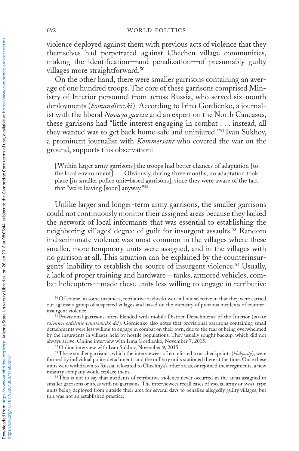violence deployed against them with previous acts of violence that they themselves had perpetrated against Chechen village communities, making the identification—and penalization—of presumably guilty villages more straightforward.<sup>50</sup>

On the other hand, there were smaller garrisons containing an average of one hundred troops. The core of these garrisons comprised Ministry of Interior personnel from across Russia, who served six-month deployments (*komandirovki*). According to Irina Gordienko, a journalist with the liberal *Novaya gazeta* and an expert on the North Caucasus, these garrisons had "little interest engaging in combat . . . instead, all they wanted was to get back home safe and uninjured."51 Ivan Sukhov, a prominent journalist with *Kommersant* who covered the war on the ground, supports this observation:

[Within larger army garrisons] the troops had better chances of adaptation [to the local environment] . . . Obviously, during three months, no adaptation took place [in smaller police unit–based garrisons], since they were aware of the fact that "we're leaving [soon] anyway."52

Unlike larger and longer-term army garrisons, the smaller garrisons could not continuously monitor their assigned areas because they lacked the network of local informants that was essential to establishing the neighboring villages' degree of guilt for insurgent assaults.<sup>53</sup> Random indiscriminate violence was most common in the villages where these smaller, more temporary units were assigned, and in the villages with no garrison at all. This situation can be explained by the counterinsurgents' inability to establish the source of insurgent violence.<sup>54</sup> Usually, a lack of proper training and hardware—tanks, armored vehicles, combat helicopters—made these units less willing to engage in retributive

53These smaller garrisons, which the interviewees often referred to as checkpoints (*blokposty*), were formed by individual police detachments and the military units stationed there at the time. Once these units were withdrawn to Russia, relocated to Chechnya's other areas, or rejoined their regiments, a new infantry company would replace them.

<sup>54</sup>This is not to say that incidents of retributive violence never occurred in the areas assigned to smaller garrisons or areas with no garrisons. The interviewees recall cases of special army or swat-type units being deployed from outside their area for several days to penalize allegedly guilty villages, but this was not an established practice.

<sup>50</sup> Of course, in some instances, retributive zachistki were all but selective in that they were carried out against a group of suspected villages and based on the intensity of previous incidents of counterinsurgent violence.<br><sup>51</sup> Provisional garrisons often blended with mobile District Detachments of the Interior (ROVD:

*raionnoe otdelenie vnutrennikh del*)*.* Gordienko also notes that provisional garrisons containing small detachments were less willing to engage in combat on their own, due to the fear of being overwhelmed by the insurgents in villages held by hostile populations. They usually sought backup, which did not always arrive. Online interview with Irina Gordienko, November 7, 2015. 52 Online interview with Ivan Sukhov, November 9, 2015.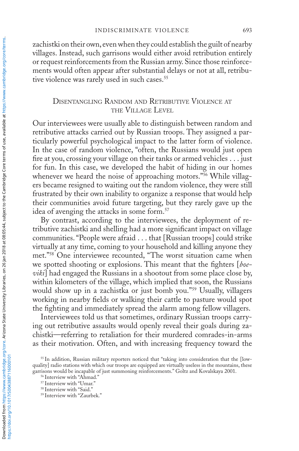zachistki on their own, even when they could establish the guilt of nearby villages. Instead, such garrisons would either avoid retribution entirely or request reinforcements from the Russian army. Since those reinforcements would often appear after substantial delays or not at all, retributive violence was rarely used in such cases.<sup>55</sup>

# Disentangling Random and Retributive Violence at the Village Level

Our interviewees were usually able to distinguish between random and retributive attacks carried out by Russian troops. They assigned a particularly powerful psychological impact to the latter form of violence. In the case of random violence, "often, the Russians would just open fire at you, crossing your village on their tanks or armed vehicles . . . just for fun. In this case, we developed the habit of hiding in our homes whenever we heard the noise of approaching motors."<sup>56</sup> While villagers became resigned to waiting out the random violence, they were still frustrated by their own inability to organize a response that would help their communities avoid future targeting, but they rarely gave up the idea of avenging the attacks in some form.<sup>57</sup>

By contrast, according to the interviewees, the deployment of retributive zachistki and shelling had a more significant impact on village communities. "People were afraid . . . that [Russian troops] could strike virtually at any time, coming to your household and killing anyone they met."58 One interviewee recounted, "The worst situation came when we spotted shooting or explosions. This meant that the fighters [*boeviki*] had engaged the Russians in a shootout from some place close by, within kilometers of the village, which implied that soon, the Russians would show up in a zachistka or just bomb you."59 Usually, villagers working in nearby fields or walking their cattle to pasture would spot the fighting and immediately spread the alarm among fellow villagers.

Interviewees told us that sometimes, ordinary Russian troops carrying out retributive assaults would openly reveal their goals during zachistki—referring to retaliation for their murdered comrades-in-arms as their motivation. Often, and with increasing frequency toward the

<sup>55</sup> In addition, Russian military reporters noticed that "taking into consideration that the [lowquality] radio stations with which our troops are equipped are virtually useless in the mountains, these garrisons would be incapable of just summoning reinforcements." Goltz and Kovalskaya 2001.

<sup>56</sup> Interview with "Ahmad."

<sup>&</sup>lt;sup>57</sup> Interview with "Umar."

<sup>58</sup> Interview with "Said."

<sup>59</sup> Interview with "Zaurbek."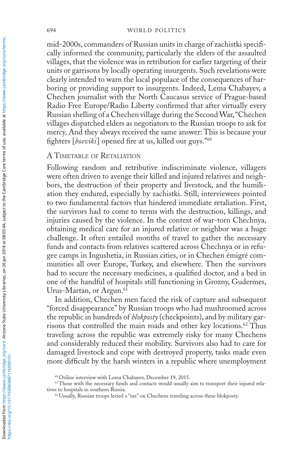mid-2000s, commanders of Russian units in charge of zachistki specifically informed the community, particularly the elders of the assaulted villages, that the violence was in retribution for earlier targeting of their units or garrisons by locally operating insurgents. Such revelations were clearly intended to warn the local populace of the consequences of harboring or providing support to insurgents. Indeed, Lema Chabayev, a Chechen journalist with the North Caucasus service of Prague-based Radio Free Europe/Radio Liberty confirmed that after virtually every Russian shelling of a Chechen village during the Second War, "Chechen villages dispatched elders as negotiators to the Russian troops to ask for mercy. And they always received the same answer: This is because your fighters [*boeviki*] opened fire at us, killed our guys."60

# A Timetable of Retaliation

Following random and retributive indiscriminate violence, villagers were often driven to avenge their killed and injured relatives and neighbors, the destruction of their property and livestock, and the humiliation they endured, especially by zachistki. Still, interviewees pointed to two fundamental factors that hindered immediate retaliation. First, the survivors had to come to terms with the destruction, killings, and injuries caused by the violence. In the context of war-torn Chechnya, obtaining medical care for an injured relative or neighbor was a huge challenge. It often entailed months of travel to gather the necessary funds and contacts from relatives scattered across Chechnya or in refugee camps in Ingushetia, in Russian cities, or in Chechen émigré communities all over Europe, Turkey, and elsewhere. Then the survivors had to secure the necessary medicines, a qualified doctor, and a bed in one of the handful of hospitals still functioning in Grozny, Gudermes, Urus-Martan, or Argun.<sup>61</sup>

In addition, Chechen men faced the risk of capture and subsequent "forced disappearance" by Russian troops who had mushroomed across the republic in hundreds of *blokposty* (checkpoints), and by military garrisons that controlled the main roads and other key locations.<sup>62</sup> Thus traveling across the republic was extremely risky for many Chechens and considerably reduced their mobility. Survivors also had to care for damaged livestock and cope with destroyed property, tasks made even more difficult by the harsh winters in a republic where unemployment

<sup>60</sup> Online interview with Lema Chabayev, December 19, 2015.

<sup>61</sup>Those with the necessary funds and contacts would usually aim to transport their injured relatives to hospitals in southern Russia. 62 Usually, Russian troops levied a "tax" on Chechens traveling across these blokposty*.*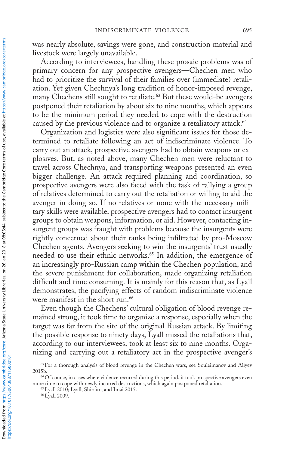was nearly absolute, savings were gone, and construction material and livestock were largely unavailable.

According to interviewees, handling these prosaic problems was of primary concern for any prospective avengers—Chechen men who had to prioritize the survival of their families over (immediate) retaliation. Yet given Chechnya's long tradition of honor-imposed revenge, many Chechens still sought to retaliate.<sup>63</sup> But these would-be avengers postponed their retaliation by about six to nine months, which appears to be the minimum period they needed to cope with the destruction caused by the previous violence and to organize a retaliatory attack.<sup>64</sup>

Organization and logistics were also significant issues for those determined to retaliate following an act of indiscriminate violence. To carry out an attack, prospective avengers had to obtain weapons or explosives. But, as noted above, many Chechen men were reluctant to travel across Chechnya, and transporting weapons presented an even bigger challenge. An attack required planning and coordination, so prospective avengers were also faced with the task of rallying a group of relatives determined to carry out the retaliation or willing to aid the avenger in doing so. If no relatives or none with the necessary military skills were available, prospective avengers had to contact insurgent groups to obtain weapons, information, or aid. However, contacting insurgent groups was fraught with problems because the insurgents were rightly concerned about their ranks being infiltrated by pro-Moscow Chechen agents. Avengers seeking to win the insurgents' trust usually needed to use their ethnic networks.<sup>65</sup> In addition, the emergence of an increasingly pro-Russian camp within the Chechen population, and the severe punishment for collaboration, made organizing retaliation difficult and time consuming. It is mainly for this reason that, as Lyall demonstrates, the pacifying effects of random indiscriminate violence were manifest in the short run.<sup>66</sup>

Even though the Chechens' cultural obligation of blood revenge remained strong, it took time to organize a response, especially when the target was far from the site of the original Russian attack. By limiting the possible response to ninety days, Lyall missed the retaliations that, according to our interviewees, took at least six to nine months. Organizing and carrying out a retaliatory act in the prospective avenger's

<sup>66</sup> Lyall 2009.

<sup>63</sup> For a thorough analysis of blood revenge in the Chechen wars, see Souleimanov and Aliyev 2015b. 64 Of course, in cases where violence recurred during this period, it took prospective avengers even

more time to cope with newly incurred destructions, which again postponed retaliation.

<sup>65</sup> Lyall 2010; Lyall, Shiraito, and Imai 2015.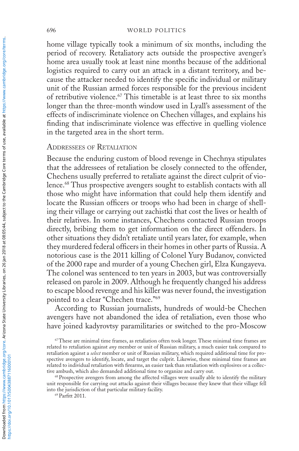#### 696 world politics

home village typically took a minimum of six months, including the period of recovery. Retaliatory acts outside the prospective avenger's home area usually took at least nine months because of the additional logistics required to carry out an attack in a distant territory, and because the attacker needed to identify the specific individual or military unit of the Russian armed forces responsible for the previous incident of retributive violence.<sup>67</sup> This timetable is at least three to six months longer than the three-month window used in Lyall's assessment of the effects of indiscriminate violence on Chechen villages, and explains his finding that indiscriminate violence was effective in quelling violence in the targeted area in the short term.

## Addressees of Retaliation

Because the enduring custom of blood revenge in Chechnya stipulates that the addressees of retaliation be closely connected to the offender, Chechens usually preferred to retaliate against the direct culprit of violence.68 Thus prospective avengers sought to establish contacts with all those who might have information that could help them identify and locate the Russian officers or troops who had been in charge of shelling their village or carrying out zachistki that cost the lives or health of their relatives. In some instances, Chechens contacted Russian troops directly, bribing them to get information on the direct offenders. In other situations they didn't retaliate until years later, for example, when they murdered federal officers in their homes in other parts of Russia. A notorious case is the 2011 killing of Colonel Yury Budanov, convicted of the 2000 rape and murder of a young Chechen girl, Elza Kungayeva. The colonel was sentenced to ten years in 2003, but was controversially released on parole in 2009. Although he frequently changed his address to escape blood revenge and his killer was never found, the investigation pointed to a clear "Chechen trace."<sup>69</sup>

According to Russian journalists, hundreds of would-be Chechen avengers have not abandoned the idea of retaliation, even those who have joined kadyrovtsy paramilitaries or switched to the pro-Moscow

tive ambush, which also demanded additional time to organize and carry out.<br><sup>68</sup> Prospective avengers from among the affected villages were usually able to identify the military unit responsible for carrying out attacks against their villages because they knew that their village fell into the jurisdiction of that particular military facility.

<sup>69</sup> Parfitt 2011.

<sup>&</sup>lt;sup>67</sup>These are minimal time frames, as retaliation often took longer. These minimal time frames are related to retaliation against *any* member or unit of Russian military, a much easier task compared to retaliation against a *select* member or unit of Russian military, which required additional time for prospective avengers to identify, locate, and target the culprit. Likewise, these minimal time frames are related to individual retaliation with firearms, an easier task than retaliation with explosives or a collec-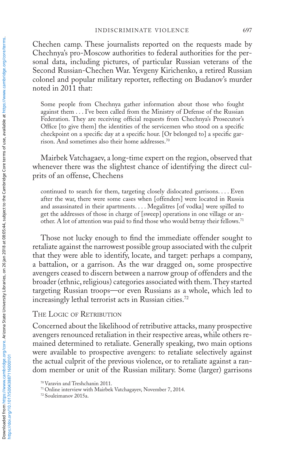Chechen camp. These journalists reported on the requests made by Chechnya's pro-Moscow authorities to federal authorities for the personal data, including pictures, of particular Russian veterans of the Second Russian-Chechen War. Yevgeny Kirichenko, a retired Russian colonel and popular military reporter, reflecting on Budanov's murder noted in 2011 that:

Some people from Chechnya gather information about those who fought against them . . . I've been called from the Ministry of Defense of the Russian Federation. They are receiving official requests from Chechnya's Prosecutor's Office [to give them] the identities of the servicemen who stood on a specific checkpoint on a specific day at a specific hour. [Or belonged to] a specific garrison. And sometimes also their home addresses.70

Mairbek Vatchagaev, a long-time expert on the region, observed that whenever there was the slightest chance of identifying the direct culprits of an offense, Chechens

continued to search for them, targeting closely dislocated garrisons. . . . Even after the war, there were some cases when [offenders] were located in Russia and assassinated in their apartments. . . . Megalitres [of vodka] were spilled to get the addresses of those in charge of [sweep] operations in one village or another. A lot of attention was paid to find those who would betray their fellows.<sup>71</sup>

Those not lucky enough to find the immediate offender sought to retaliate against the narrowest possible group associated with the culprit that they were able to identify, locate, and target: perhaps a company, a battalion, or a garrison. As the war dragged on, some prospective avengers ceased to discern between a narrow group of offenders and the broader (ethnic, religious) categories associated with them. They started targeting Russian troops—or even Russians as a whole, which led to increasingly lethal terrorist acts in Russian cities.72

The Logic of Retribution

Concerned about the likelihood of retributive attacks, many prospective avengers renounced retaliation in their respective areas, while others remained determined to retaliate. Generally speaking, two main options were available to prospective avengers: to retaliate selectively against the actual culprit of the previous violence, or to retaliate against a random member or unit of the Russian military. Some (larger) garrisons

https://doi.org/10.1017/S0043887116000101

<sup>70</sup> Varavin and Treshchanin 2011.

<sup>71</sup> Online interview with Mairbek Vatchagayev, November 7, 2014.

<sup>72</sup> Souleimanov 2015a.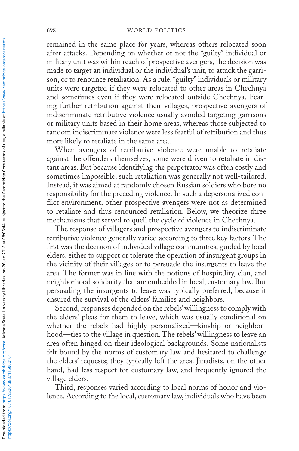remained in the same place for years, whereas others relocated soon after attacks. Depending on whether or not the "guilty" individual or military unit was within reach of prospective avengers, the decision was made to target an individual or the individual's unit, to attack the garrison, or to renounce retaliation. As a rule, "guilty" individuals or military units were targeted if they were relocated to other areas in Chechnya and sometimes even if they were relocated outside Chechnya. Fearing further retribution against their villages, prospective avengers of indiscriminate retributive violence usually avoided targeting garrisons or military units based in their home areas, whereas those subjected to random indiscriminate violence were less fearful of retribution and thus more likely to retaliate in the same area.

When avengers of retributive violence were unable to retaliate against the offenders themselves, some were driven to retaliate in distant areas. But because identifying the perpetrator was often costly and sometimes impossible, such retaliation was generally not well-tailored. Instead, it was aimed at randomly chosen Russian soldiers who bore no responsibility for the preceding violence. In such a depersonalized conflict environment, other prospective avengers were not as determined to retaliate and thus renounced retaliation. Below, we theorize three mechanisms that served to quell the cycle of violence in Chechnya.

The response of villagers and prospective avengers to indiscriminate retributive violence generally varied according to three key factors. The first was the decision of individual village communities, guided by local elders, either to support or tolerate the operation of insurgent groups in the vicinity of their villages or to persuade the insurgents to leave the area. The former was in line with the notions of hospitality, clan, and neighborhood solidarity that are embedded in local, customary law. But persuading the insurgents to leave was typically preferred, because it ensured the survival of the elders' families and neighbors.

Second, responses depended on the rebels' willingness to comply with the elders' pleas for them to leave, which was usually conditional on whether the rebels had highly personalized—kinship or neighborhood—ties to the village in question. The rebels' willingness to leave an area often hinged on their ideological backgrounds. Some nationalists felt bound by the norms of customary law and hesitated to challenge the elders' requests; they typically left the area. Jihadists, on the other hand, had less respect for customary law, and frequently ignored the village elders.

Third, responses varied according to local norms of honor and violence. According to the local, customary law, individuals who have been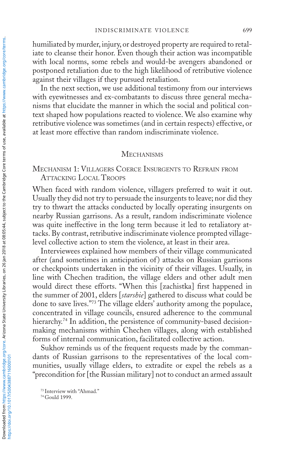humiliated by murder, injury, or destroyed property are required to retaliate to cleanse their honor. Even though their action was incompatible with local norms, some rebels and would-be avengers abandoned or postponed retaliation due to the high likelihood of retributive violence against their villages if they pursued retaliation.

In the next section, we use additional testimony from our interviews with eyewitnesses and ex-combatants to discuss three general mechanisms that elucidate the manner in which the social and political context shaped how populations reacted to violence. We also examine why retributive violence was sometimes (and in certain respects) effective, or at least more effective than random indiscriminate violence.

### **MECHANISMS**

## Mechanism 1: Villagers Coerce Insurgents to Refrain from Attacking Local Troops

When faced with random violence, villagers preferred to wait it out. Usually they did not try to persuade the insurgents to leave; nor did they try to thwart the attacks conducted by locally operating insurgents on nearby Russian garrisons. As a result, random indiscriminate violence was quite ineffective in the long term because it led to retaliatory attacks. By contrast, retributive indiscriminate violence prompted villagelevel collective action to stem the violence, at least in their area.

Interviewees explained how members of their village communicated after (and sometimes in anticipation of) attacks on Russian garrisons or checkpoints undertaken in the vicinity of their villages. Usually, in line with Chechen tradition, the village elders and other adult men would direct these efforts. "When this [zachistka] first happened in the summer of 2001, elders [*starshie*] gathered to discuss what could be done to save lives."73 The village elders' authority among the populace, concentrated in village councils, ensured adherence to the communal hierarchy.<sup>74</sup> In addition, the persistence of community-based decisionmaking mechanisms within Chechen villages, along with established forms of internal communication, facilitated collective action.

Sukhov reminds us of the frequent requests made by the commandants of Russian garrisons to the representatives of the local communities, usually village elders, to extradite or expel the rebels as a "precondition for [the Russian military] not to conduct an armed assault

<sup>74</sup> Gould 1999.

<sup>73</sup> Interview with "Ahmad."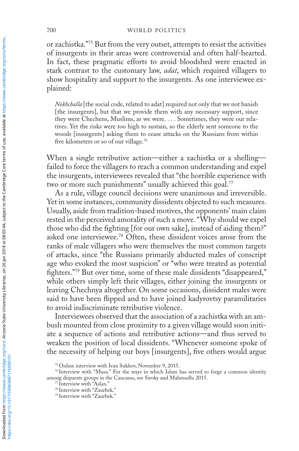or zachistka."75 But from the very outset, attempts to resist the activities of insurgents in their areas were controversial and often half-hearted. In fact, these pragmatic efforts to avoid bloodshed were enacted in stark contrast to the customary law, *adat*, which required villagers to show hospitality and support to the insurgents. As one interviewee explained:

*Nokhchalla* [the social code, related to adat] required not only that we not banish [the insurgents], but that we provide them with any necessary support, since they were Chechens, Muslims, as we were. . . . Sometimes, they were our relatives. Yet the risks were too high to sustain, so the elderly sent someone to the woods [insurgents] asking them to cease attacks on the Russians from within five kilometers or so of our village.76

When a single retributive action—either a zachistka or a shelling failed to force the villagers to reach a common understanding and expel the insurgents, interviewees revealed that "the horrible experience with two or more such punishments" usually achieved this goal.<sup>77</sup>

As a rule, village council decisions were unanimous and irreversible. Yet in some instances, community dissidents objected to such measures. Usually, aside from tradition-based motives, the opponents' main claim rested in the perceived amorality of such a move. "Why should we expel those who did the fighting [for our own sake], instead of aiding them?" asked one interviewee.78 Often, these dissident voices arose from the ranks of male villagers who were themselves the most common targets of attacks, since "the Russians primarily abducted males of conscript age who evoked the most suspicion" or "who were treated as potential fighters."79 But over time, some of these male dissidents "disappeared," while others simply left their villages, either joining the insurgents or leaving Chechnya altogether. On some occasions, dissident males were said to have been flipped and to have joined kadyrovtsy paramilitaries to avoid indiscriminate retributive violence.

Interviewees observed that the association of a zachistka with an ambush mounted from close proximity to a given village would soon initiate a sequence of actions and retributive actions—and thus served to weaken the position of local dissidents. "Whenever someone spoke of the necessity of helping our boys [insurgents], five others would argue

<sup>75</sup> Online interview with Ivan Sukhov, November 9, 2015.

<sup>76</sup> Interview with "Musa." For the ways in which Islam has served to forge a common identity among disparate groups in the Caucasus, see Siroky and Mahmudlu 2015.

<sup>77</sup> Interview with "Aslan."

<sup>78</sup> Interview with "Zaurbek."

<sup>79</sup> Interview with "Zaurbek."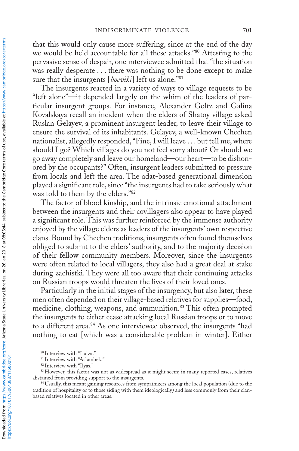that this would only cause more suffering, since at the end of the day we would be held accountable for all these attacks."80 Attesting to the pervasive sense of despair, one interviewee admitted that "the situation was really desperate . . . there was nothing to be done except to make sure that the insurgents [*boeviki*] left us alone."81

The insurgents reacted in a variety of ways to village requests to be "left alone"—it depended largely on the whim of the leaders of particular insurgent groups. For instance, Alexander Goltz and Galina Kovalskaya recall an incident when the elders of Shatoy village asked Ruslan Gelayev, a prominent insurgent leader, to leave their village to ensure the survival of its inhabitants. Gelayev, a well-known Chechen nationalist, allegedly responded, "Fine, I will leave . . . but tell me, where should I go? Which villages do you not feel sorry about? Or should we go away completely and leave our homeland—our heart—to be dishonored by the occupants?" Often, insurgent leaders submitted to pressure from locals and left the area. The adat-based generational dimension played a significant role, since "the insurgents had to take seriously what was told to them by the elders."82

The factor of blood kinship, and the intrinsic emotional attachment between the insurgents and their covillagers also appear to have played a significant role. This was further reinforced by the immense authority enjoyed by the village elders as leaders of the insurgents' own respective clans. Bound by Chechen traditions, insurgents often found themselves obliged to submit to the elders' authority, and to the majority decision of their fellow community members. Moreover, since the insurgents were often related to local villagers, they also had a great deal at stake during zachistki. They were all too aware that their continuing attacks on Russian troops would threaten the lives of their loved ones.

Particularly in the initial stages of the insurgency, but also later, these men often depended on their village-based relatives for supplies—food, medicine, clothing, weapons, and ammunition.<sup>83</sup> This often prompted the insurgents to either cease attacking local Russian troops or to move to a different area.<sup>84</sup> As one interviewee observed, the insurgents "had nothing to eat [which was a considerable problem in winter]. Either

<sup>80</sup> Interview with "Luiza."

<sup>&</sup>lt;sup>81</sup> Interview with "Aslambek."

<sup>82</sup> Interview with "Ilyas."

<sup>&</sup>lt;sup>83</sup> However, this factor was not as widespread as it might seem; in many reported cases, relatives abstained from providing support to the insurgents.

<sup>84</sup> Usually, this meant gaining resources from sympathizers among the local population (due to the tradition of hospitality or to those siding with them ideologically) and less commonly from their clanbased relatives located in other areas.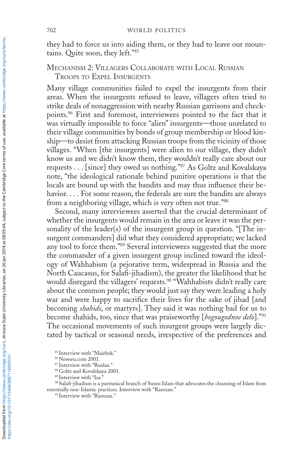they had to force us into aiding them, or they had to leave our mountains. Quite soon, they left."85

## Mechanism 2: Villagers Collaborate with Local Russian Troops to Expel Insurgents

Many village communities failed to expel the insurgents from their areas. When the insurgents refused to leave, villagers often tried to strike deals of nonaggression with nearby Russian garrisons and checkpoints.86 First and foremost, interviewees pointed to the fact that it was virtually impossible to force "alien" insurgents—those unrelated to their village communities by bonds of group membership or blood kinship—to desist from attacking Russian troops from the vicinity of those villages. "When [the insurgents] were alien to our village, they didn't know us and we didn't know them, they wouldn't really care about our requests . . . [since] they owed us nothing."87 As Goltz and Kovalskaya note, "the ideological rationale behind punitive operations is that the locals are bound up with the bandits and may thus influence their behavior. . . . For some reason, the federals are sure the bandits are always from a neighboring village, which is very often not true."88

Second, many interviewees asserted that the crucial determinant of whether the insurgents would remain in the area or leave it was the personality of the leader(s) of the insurgent group in question. "[The insurgent commanders] did what they considered appropriate; we lacked any tool to force them."89 Several interviewees suggested that the more the commander of a given insurgent group inclined toward the ideology of Wahhabism (a pejorative term, widespread in Russia and the North Caucasus, for Salafi-jihadism), the greater the likelihood that he would disregard the villagers' requests.<sup>90</sup> "Wahhabists didn't really care about the common people; they would just say they were leading a holy war and were happy to sacrifice their lives for the sake of jihad [and becoming *shahids*, or martyrs]. They said it was nothing bad for us to become shahids, too, since that was praiseworthy [*bogougodnoe delo*]."91 The occasional movements of such insurgent groups were largely dictated by tactical or seasonal needs, irrespective of the preferences and

<sup>85</sup> Interview with "Mairbek."

<sup>86</sup> Newsru.com 2001.

<sup>87</sup> Interview with "Ruslan."

<sup>88</sup> Goltz and Kovalskaya 2001.

<sup>89</sup> Interview with "Isa."

<sup>90</sup> Salafi-jihadism is a puritanical branch of Sunni Islam that advocates the cleansing of Islam from essentially non-Islamic practices. Interview with "Ramzan." 91 Interview with "Ramzan."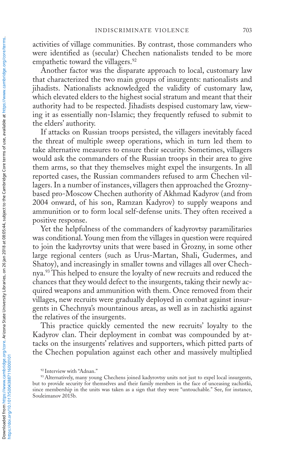activities of village communities. By contrast, those commanders who were identified as (secular) Chechen nationalists tended to be more empathetic toward the villagers.<sup>92</sup>

Another factor was the disparate approach to local, customary law that characterized the two main groups of insurgents: nationalists and jihadists. Nationalists acknowledged the validity of customary law, which elevated elders to the highest social stratum and meant that their authority had to be respected. Jihadists despised customary law, viewing it as essentially non-Islamic; they frequently refused to submit to the elders' authority.

If attacks on Russian troops persisted, the villagers inevitably faced the threat of multiple sweep operations, which in turn led them to take alternative measures to ensure their security. Sometimes, villagers would ask the commanders of the Russian troops in their area to give them arms, so that they themselves might expel the insurgents. In all reported cases, the Russian commanders refused to arm Chechen villagers. In a number of instances, villagers then approached the Groznybased pro-Moscow Chechen authority of Akhmad Kadyrov (and from 2004 onward, of his son, Ramzan Kadyrov) to supply weapons and ammunition or to form local self-defense units. They often received a positive response.

Yet the helpfulness of the commanders of kadyrovtsy paramilitaries was conditional. Young men from the villages in question were required to join the kadyrovtsy units that were based in Grozny, in some other large regional centers (such as Urus-Martan, Shali, Gudermes, and Shatoy), and increasingly in smaller towns and villages all over Chechnya.<sup>93</sup> This helped to ensure the loyalty of new recruits and reduced the chances that they would defect to the insurgents, taking their newly acquired weapons and ammunition with them. Once removed from their villages, new recruits were gradually deployed in combat against insurgents in Chechnya's mountainous areas, as well as in zachistki against the relatives of the insurgents.

This practice quickly cemented the new recruits' loyalty to the Kadyrov clan. Their deployment in combat was compounded by attacks on the insurgents' relatives and supporters, which pitted parts of the Chechen population against each other and massively multiplied

<sup>92</sup> Interview with "Adnan."

<sup>93</sup> Alternatively, many young Chechens joined kadyrovtsy units not just to expel local insurgents, but to provide security for themselves and their family members in the face of unceasing zachistki, since membership in the units was taken as a sign that they were "untouchable." See, for instance, Souleimanov 2015b.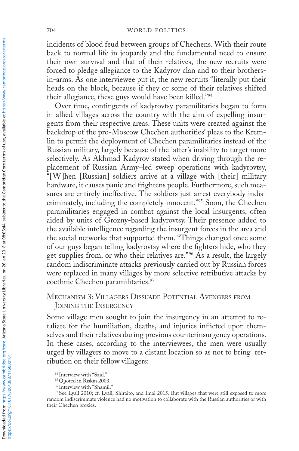#### 704 WORLD POLITICS

incidents of blood feud between groups of Chechens. With their route back to normal life in jeopardy and the fundamental need to ensure their own survival and that of their relatives, the new recruits were forced to pledge allegiance to the Kadyrov clan and to their brothersin-arms. As one interviewee put it, the new recruits "literally put their heads on the block, because if they or some of their relatives shifted their allegiance, these guys would have been killed."94

Over time, contingents of kadyrovtsy paramilitaries began to form in allied villages across the country with the aim of expelling insurgents from their respective areas. These units were created against the backdrop of the pro-Moscow Chechen authorities' pleas to the Kremlin to permit the deployment of Chechen paramilitaries instead of the Russian military, largely because of the latter's inability to target more selectively. As Akhmad Kadyrov stated when driving through the replacement of Russian Army–led sweep operations with kadyrovtsy, "[W]hen [Russian] soldiers arrive at a village with [their] military hardware, it causes panic and frightens people. Furthermore, such measures are entirely ineffective. The soldiers just arrest everybody indiscriminately, including the completely innocent."95 Soon, the Chechen paramilitaries engaged in combat against the local insurgents, often aided by units of Grozny-based kadyrovtsy. Their presence added to the available intelligence regarding the insurgent forces in the area and the social networks that supported them. "Things changed once some of our guys began telling kadyrovtsy where the fighters hide, who they get supplies from, or who their relatives are."<sup>96</sup> As a result, the largely random indiscriminate attacks previously carried out by Russian forces were replaced in many villages by more selective retributive attacks by coethnic Chechen paramilitaries.<sup>97</sup>

## Mechanism 3: Villagers Dissuade Potential Avengers from Joining the Insurgency

Some village men sought to join the insurgency in an attempt to retaliate for the humiliation, deaths, and injuries inflicted upon themselves and their relatives during previous counterinsurgency operations. In these cases, according to the interviewees, the men were usually urged by villagers to move to a distant location so as not to bring retribution on their fellow villagers:

<sup>94</sup> Interview with "Said.

<sup>95</sup> Quoted in Riskin 2003.

<sup>96</sup> Interview with "Shamil."

<sup>97</sup> See Lyall 2010; cf. Lyall, Shiraito, and Imai 2015. But villages that were still exposed to more random indiscriminate violence had no motivation to collaborate with the Russian authorities or with their Chechen proxies.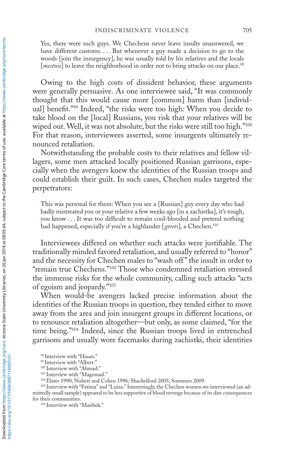Yes, there were such guys. We Chechens never leave insults unanswered, we have different customs.... But whenever a guy made a decision to go to the woods [join the insurgency], he was usually told by his relatives and the locals [*mestnie*] to leave the neighborhood in order not to bring attacks on our place.<sup>98</sup>

Owing to the high costs of dissident behavior, these arguments were generally persuasive. As one interviewee said, "It was commonly thought that this would cause more [common] harm than [individual] benefit."99 Indeed, "the risks were too high: When you decide to take blood on the [local] Russians, you risk that your relatives will be wiped out. Well, it was not absolute, but the risks were still too high."<sup>100</sup> For that reason, interviewees asserted, some insurgents ultimately renounced retaliation.

Notwithstanding the probable costs to their relatives and fellow villagers, some men attacked locally positioned Russian garrisons, especially when the avengers knew the identities of the Russian troops and could establish their guilt. In such cases, Chechen males targeted the perpetrators:

This was personal for them: When you see a [Russian] guy every day who had badly mistreated you or your relative a few weeks ago [in a zachistka], it's tough, you know . . . It was too difficult to remain cool-blooded and pretend nothing had happened, especially if you're a highlander [*gorets*], a Chechen.101

Interviewees differed on whether such attacks were justifiable. The traditionally minded favored retaliation, and usually referred to "honor" and the necessity for Chechen males to "wash off " the insult in order to "remain true Chechens."102 Those who condemned retaliation stressed the immense risks for the whole community, calling such attacks "acts of egoism and jeopardy."103

When would-be avengers lacked precise information about the identities of the Russian troops in question, they tended either to move away from the area and join insurgent groups in different locations, or to renounce retaliation altogether—but only, as some claimed, "for the time being."104 Indeed, since the Russian troops lived in entrenched garrisons and usually wore facemasks during zachistki, their identities

<sup>98</sup> Interview with "Hasan."

<sup>99</sup> Interview with "Albert."

<sup>&</sup>lt;sup>100</sup> Interview with "Ahmad."

<sup>&</sup>lt;sup>101</sup> Interview with "Magomad."

<sup>&</sup>lt;sup>102</sup> Elster 1990; Nisbett and Cohen 1996; Shackelford 2005; Sommers 2009.<br><sup>103</sup> Interview with "Fatima" and "Luiza." Interestingly, the Chechen women we interviewed (an admittedly small sample) appeared to be less supportive of blood revenge because of its dire consequences for their communities.

<sup>&</sup>lt;sup>104</sup> Interview with "Mairbek."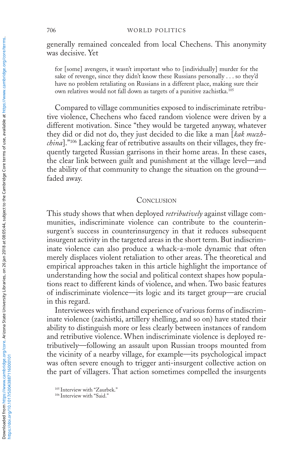generally remained concealed from local Chechens. This anonymity was decisive. Yet

for [some] avengers, it wasn't important who to [individually] murder for the sake of revenge, since they didn't know these Russians personally . . . so they'd have no problem retaliating on Russians in a different place, making sure their own relatives would not fall down as targets of a punitive zachistka.105

Compared to village communities exposed to indiscriminate retributive violence, Chechens who faced random violence were driven by a different motivation. Since "they would be targeted anyway, whatever they did or did not do, they just decided to die like a man [*kak muzhchina*]."106 Lacking fear of retributive assaults on their villages, they frequently targeted Russian garrisons in their home areas. In these cases, the clear link between guilt and punishment at the village level—and the ability of that community to change the situation on the ground faded away.

### **CONCLUSION**

This study shows that when deployed *retributively* against village communities, indiscriminate violence can contribute to the counterinsurgent's success in counterinsurgency in that it reduces subsequent insurgent activity in the targeted areas in the short term. But indiscriminate violence can also produce a whack-a-mole dynamic that often merely displaces violent retaliation to other areas. The theoretical and empirical approaches taken in this article highlight the importance of understanding how the social and political context shapes how populations react to different kinds of violence, and when. Two basic features of indiscriminate violence—its logic and its target group—are crucial in this regard.

Interviewees with firsthand experience of various forms of indiscriminate violence (zachistki, artillery shelling, and so on) have stated their ability to distinguish more or less clearly between instances of random and retributive violence. When indiscriminate violence is deployed retributively—following an assault upon Russian troops mounted from the vicinity of a nearby village, for example—its psychological impact was often severe enough to trigger anti-insurgent collective action on the part of villagers. That action sometimes compelled the insurgents

<sup>105</sup> Interview with "Zaurbek."

<sup>&</sup>lt;sup>106</sup> Interview with "Said."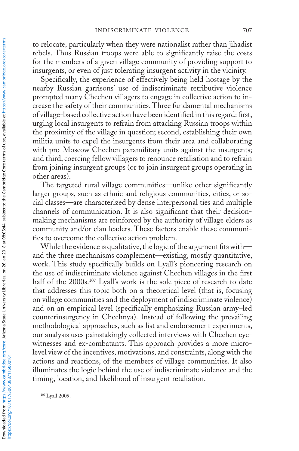to relocate, particularly when they were nationalist rather than jihadist rebels. Thus Russian troops were able to significantly raise the costs for the members of a given village community of providing support to insurgents, or even of just tolerating insurgent activity in the vicinity.

Specifically, the experience of effectively being held hostage by the nearby Russian garrisons' use of indiscriminate retributive violence prompted many Chechen villagers to engage in collective action to increase the safety of their communities. Three fundamental mechanisms of village-based collective action have been identified in this regard: first, urging local insurgents to refrain from attacking Russian troops within the proximity of the village in question; second, establishing their own militia units to expel the insurgents from their area and collaborating with pro-Moscow Chechen paramilitary units against the insurgents; and third, coercing fellow villagers to renounce retaliation and to refrain from joining insurgent groups (or to join insurgent groups operating in other areas).

The targeted rural village communities—unlike other significantly larger groups, such as ethnic and religious communities, cities, or social classes—are characterized by dense interpersonal ties and multiple channels of communication. It is also significant that their decisionmaking mechanisms are reinforced by the authority of village elders as community and/or clan leaders. These factors enable these communities to overcome the collective action problem.

While the evidence is qualitative, the logic of the argument fits with and the three mechanisms complement—existing, mostly quantitative, work. This study specifically builds on Lyall's pioneering research on the use of indiscriminate violence against Chechen villages in the first half of the 2000s.<sup>107</sup> Lyall's work is the sole piece of research to date that addresses this topic both on a theoretical level (that is, focusing on village communities and the deployment of indiscriminate violence) and on an empirical level (specifically emphasizing Russian army–led counterinsurgency in Chechnya). Instead of following the prevailing methodological approaches, such as list and endorsement experiments, our analysis uses painstakingly collected interviews with Chechen eyewitnesses and ex-combatants. This approach provides a more microlevel view of the incentives, motivations, and constraints, along with the actions and reactions, of the members of village communities. It also illuminates the logic behind the use of indiscriminate violence and the timing, location, and likelihood of insurgent retaliation.

<sup>107</sup> Lyall 2009.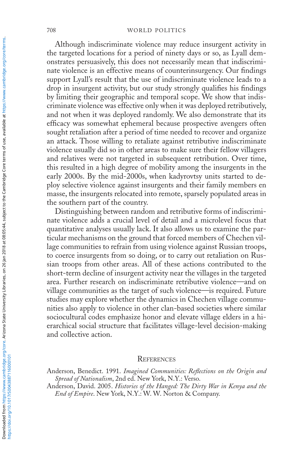Although indiscriminate violence may reduce insurgent activity in the targeted locations for a period of ninety days or so, as Lyall demonstrates persuasively, this does not necessarily mean that indiscriminate violence is an effective means of counterinsurgency. Our findings support Lyall's result that the use of indiscriminate violence leads to a drop in insurgent activity, but our study strongly qualifies his findings by limiting their geographic and temporal scope. We show that indiscriminate violence was effective only when it was deployed retributively, and not when it was deployed randomly. We also demonstrate that its efficacy was somewhat ephemeral because prospective avengers often sought retaliation after a period of time needed to recover and organize an attack. Those willing to retaliate against retributive indiscriminate violence usually did so in other areas to make sure their fellow villagers and relatives were not targeted in subsequent retribution. Over time, this resulted in a high degree of mobility among the insurgents in the early 2000s. By the mid-2000s, when kadyrovtsy units started to deploy selective violence against insurgents and their family members en masse, the insurgents relocated into remote, sparsely populated areas in the southern part of the country.

Distinguishing between random and retributive forms of indiscriminate violence adds a crucial level of detail and a microlevel focus that quantitative analyses usually lack. It also allows us to examine the particular mechanisms on the ground that forced members of Chechen village communities to refrain from using violence against Russian troops, to coerce insurgents from so doing, or to carry out retaliation on Russian troops from other areas. All of these actions contributed to the short-term decline of insurgent activity near the villages in the targeted area. Further research on indiscriminate retributive violence—and on village communities as the target of such violence—is required. Future studies may explore whether the dynamics in Chechen village communities also apply to violence in other clan-based societies where similar sociocultural codes emphasize honor and elevate village elders in a hierarchical social structure that facilitates village-level decision-making and collective action.

#### **REFERENCES**

Anderson, Benedict. 1991. *Imagined Communities: Reflections on the Origin and Spread of Nationalism*, 2nd ed. New York, N.Y.: Verso.

Anderson, David. 2005. *Histories of the Hanged: The Dirty War in Kenya and the End of Empire*. New York, N.Y.: W. W. Norton & Company.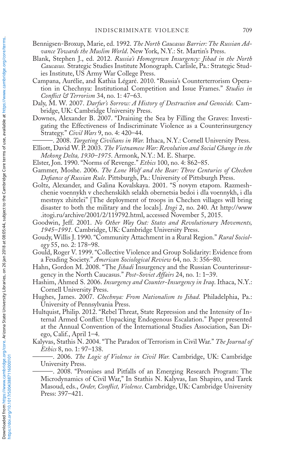- Bennigsen-Broxup, Marie, ed. 1992. *The North Caucasus Barrier: The Russian Advance Towards the Muslim World*. New York, N.Y.: St. Martin's Press.
- Blank, Stephen J., ed. 2012. *Russia's Homegrown Insurgency: Jihad in the North Caucasus.* Strategic Studies Institute Monograph. Carlisle, Pa.: Strategic Studies Institute, US Army War College Press.
- Campana, Aurélie, and Kathia Légaré. 2010. "Russia's Counterterrorism Operation in Chechnya: Institutional Competition and Issue Frames." *Studies in Conflict & Terrorism* 34, no. 1: 47–63.
- Daly, M. W. 2007. *Darfur's Sorrow: A History of Destruction and Genocide.* Cambridge, UK: Cambridge University Press.
- Downes, Alexander B. 2007. "Draining the Sea by Filling the Graves: Investigating the Effectiveness of Indiscriminate Violence as a Counterinsurgency Strategy." *Civil Wars* 9, no. 4: 420–44.
- ———. 2008. *Targeting Civilians in War.* Ithaca, N.Y.: Cornell University Press.
- Elliott, David W. P. 2003. *The Vietnamese War: Revolution and Social Change in the Mekong Delta, 1930–1975*. Armonk, N.Y.: M. E. Sharpe.
- Elster, Jon. 1990. "Norms of Revenge." *Ethics* 100, no. 4: 862–85.
- Gammer, Moshe. 2006. *The Lone Wolf and the Bear: Three Centuries of Chechen Defiance of Russian Rule*. Pittsburgh, Pa.: University of Pittsburgh Press.
- Goltz, Alexander, and Galina Kovalskaya. 2001. "S novym etapom. Razmeshchenie voennykh v chechenskikh selakh obernetsia bedoi i dla voennykh, i dla mestnyx zhitelei" [The deployment of troops in Chechen villages will bring disaster to both the military and the locals]. *Itogi* 2, no. 240. At http://www .itogi.ru/archive/2001/2/119792.html, accessed November 5, 2015.
- Goodwin, Jeff. 2001. *No Other Way Out: States and Revolutionary Movements, 1945–1991.* Cambridge, UK: Cambridge University Press.
- Goudy, Willis J. 1990. "Community Attachment in a Rural Region." *Rural Sociology* 55, no. 2: 178–98.
- Gould, Roger V. 1999. "Collective Violence and Group Solidarity: Evidence from a Feuding Society." *American Sociological Review* 64, no. 3: 356–80.
- Hahn, Gordon M. 2008. "The *Jihadi* Insurgency and the Russian Counterinsurgency in the North Caucasus." *Post-Soviet Affairs* 24, no. 1: 1–39.
- Hashim, Ahmed S. 2006. *Insurgency and Counter-Insurgency in Iraq*. Ithaca, N.Y.: Cornell University Press.
- Hughes, James. 2007. *Chechnya: From Nationalism to Jihad*. Philadelphia, Pa.: University of Pennsylvania Press.
- Hultquist, Philip. 2012. "Rebel Threat, State Repression and the Intensity of Internal Armed Conflict: Unpacking Endogenous Escalation." Paper presented at the Annual Convention of the International Studies Association, San Diego, Calif., April 1–4.
- Kalyvas, Stathis N. 2004. "The Paradox of Terrorism in Civil War." *The Journal of Ethics* 8, no. 1: 97–138.
	- ———. 2006. *The Logic of Violence in Civil War.* Cambridge, UK: Cambridge University Press.
	- -. 2008. "Promises and Pitfalls of an Emerging Research Program: The Microdynamics of Civil War," In Stathis N. Kalyvas, Ian Shapiro, and Tarek Masoud, eds., *Order, Conflict, Violence*. Cambridge, UK: Cambridge University Press: 397–421.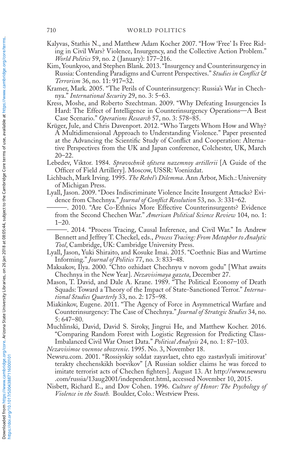- Kalyvas, Stathis N., and Matthew Adam Kocher 2007. "How 'Free' Is Free Riding in Civil Wars? Violence, Insurgency, and the Collective Action Problem." *World Politics* 59, no. 2 ( January): 177–216.
- Kim, Younkyoo, and Stephen Blank. 2013. "Insurgency and Counterinsurgency in Russia: Contending Paradigms and Current Perspectives." *Studies in Conflict & Terrorism* 36, no. 11: 917**–**32.
- Kramer, Mark. 2005. "The Perils of Counterinsurgency: Russia's War in Chechnya." *International Security* 29, no. 3: 5–63.
- Kress, Moshe, and Roberto Szechtman. 2009. "Why Defeating Insurgencies Is Hard: The Effect of Intelligence in Counterinsurgency Operations—A Best Case Scenario." *Operations Research* 57, no. 3: 578–85.
- Krüger, Jule, and Chris Davenport. 2012. "Who Targets Whom How and Why? A Multidimensional Approach to Understanding Violence." Paper presented at the Advancing the Scientific Study of Conflict and Cooperation: Alternative Perspectives from the UK and Japan conference, Colchester, UK, March 20–22.
- Lebedev, Viktor. 1984. *Spravochnik ofitsera nazemnoy artillerii* [A Guide of the Officer of Field Artillery]. Moscow, USSR: Voenizdat.
- Lichbach, Mark Irving. 1995. *The Rebel's Dilemma*. Ann Arbor, Mich.: University of Michigan Press.
- Lyall, Jason. 2009. "Does Indiscriminate Violence Incite Insurgent Attacks? Evidence from Chechnya." *Journal of Conflict Resolution* 53, no. 3: 331–62.
	- ———. 2010. "Are Co-Ethnics More Effective Counterinsurgents? Evidence from the Second Chechen War." *American Political Science Review* 104, no. 1:  $1 - 20$ .
	- ———. 2014. "Process Tracing, Causal Inference, and Civil War." In Andrew Bennett and Jeffrey T. Checkel, eds., *Process Tracing: From Metaphor to Analytic Tool*, Cambridge, UK: Cambridge University Press.
- Lyall, Jason, Yuki Shiraito, and Kosuke Imai. 2015. "Coethnic Bias and Wartime Informing." *Journal of Politics* 77, no. 3: 833–48.
- Maksakov, IIya. 2000. "Chto ozhidaet Chechnyu v novom godu" [What awaits Chechnya in the New Year]. *Nezavisimaya gazeta*, December 27.
- Mason, T. David, and Dale A. Krane. 1989. "The Political Economy of Death Squads: Toward a Theory of the Impact of State-Sanctioned Terror." *International Studies Quarterly* 33, no. 2: 175–98.
- Miakinkov, Eugene. 2011. "The Agency of Force in Asymmetrical Warfare and Counterinsurgency: The Case of Chechnya." *Journal of Strategic Studies* 34, no. 5: 647–80.
- Muchlinski, David, David S. Siroky, Jingrui He, and Matthew Kocher. 2016. "Comparing Random Forest with Logistic Regression for Predicting Class-Imbalanced Civil War Onset Data." *Political Analysis* 24, no. 1: 87–103.

*Nezavisimoe voennoe obozrenie*. 1995. No. 3, November 18.

- Newsru.com. 2001. "Rossiyskiy soldat zayavlaet, chto ego zastavlyali imitirovat' terakty chechenskikh boevikov" [A Russian soldier claims he was forced to imitate terrorist acts of Chechen fighters]. August 13. At http://www.newsru .com/russia/13aug2001/independent.html, accessed November 10, 2015.
- Nisbett, Richard E., and Dov Cohen. 1996. *Culture of Honor: The Psychology of Violence in the South.* Boulder, Colo.: Westview Press.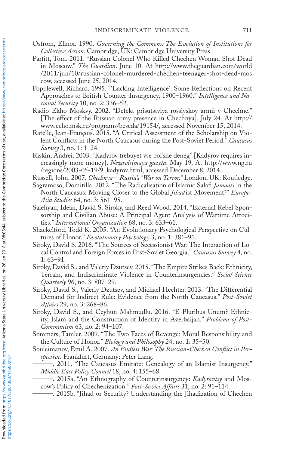- Ostrom, Elinor. 1990. *Governing the Commons: The Evolution of Institutions for Collective Action*. Cambridge, UK: Cambridge University Press.
- Parfitt, Tom. 2011. "Russian Colonel Who Killed Chechen Woman Shot Dead in Moscow." *The Guardian*. June 10. At http://www.theguardian.com/world /2011/jun/10/russian-colonel-murdered-chechen-teenager-shot-dead-mos cow, accessed June 25, 2014.
- Popplewell, Richard. 1995. "'Lacking Intelligence': Some Reflections on Recent Approaches to British Counter-Insurgency, 1900–1960." *Intelligence and National Security* 10, no. 2: 336–52.
- Radio Ekho Moskvy. 2002. "Defekt prisutstviya rossiyskoy armii v Chechne." [The effect of the Russian army presence in Chechnya]. July 24. At http:// www.echo.msk.ru/programs/beseda/19154/, accessed November 15, 2014.
- Ratelle, Jean-François. 2015. "A Critical Assessment of the Scholarship on Violent Conflicts in the North Caucasus during the Post-Soviet Period." *Caucasus Survey* 3, no. 1: 1–24.
- Riskin, Andrei. 2003. "Kadyrov trebuyet vse bol'she deneg" [Kadyrov requires increasingly more money]. *Nezavisimaya gazeta*. May 19. At http://www.ng.ru /regions/2003-05-19/9\_kadyrov.html, accessed December 8, 2014.
- Russell, John. 2007. *Chechnya—Russia's "War on Terror."* London, UK: Routledge.
- Sagramoso, Domitilla. 2012. "The Radicalisation of Islamic Salafi *Jamaats* in the North Caucasus: Moving Closer to the Global *Jihad* ist Movement?" *Europe-Asia Studies* 64, no. 3: 561–95.
- Salehyan, Idean, David S. Siroky, and Reed Wood. 2014. "External Rebel Sponsorship and Civilian Abuse: A Principal Agent Analysis of Wartime Atrocities." *International Organization* 68, no. 3: 633–61.
- Shackelford, Todd K. 2005. "An Evolutionary Psychological Perspective on Cultures of Honor." *Evolutionary Psychology* 3, no. 1: 381–91.
- Siroky, David S. 2016. "The Sources of Secessionist War: The Interaction of Local Control and Foreign Forces in Post-Soviet Georgia." *Caucasus Survey* 4, no. 1: 63–91.
- Siroky, David S., and Valeriy Dzutsev. 2015. "The Empire Strikes Back: Ethnicity, Terrain, and Indiscriminate Violence in Counterinsurgencies." *Social Science Quarterly* 96, no. 3: 807–29.
- Siroky, David S., Valeriy Dzutsev, and Michael Hechter. 2013. "The Differential Demand for Indirect Rule: Evidence from the North Caucasus." *Post-Soviet Affairs* 29, no. 3: 268–86.
- Siroky, David S., and Ceyhun Mahmudlu. 2016. "E Pluribus Unum? Ethnicity, Islam and the Construction of Identity in Azerbaijan." *Problems of Post-Communism* 63, no. 2: 94–107.
- Sommers, Tamler. 2009. "The Two Faces of Revenge: Moral Responsibility and the Culture of Honor." *Biology and Philosophy* 24, no. 1: 35–50.
- Souleimanov, Emil A. 2007. *An Endless War: The Russian-Chechen Conflict in Perspective.* Frankfurt, Germany: Peter Lang.
	- ———. 2011. "The Caucasus Emirate: Genealogy of an Islamist Insurgency." *Middle East Policy Council* 18, no. 4: 155–68.
	- ———. 2015a. "An Ethnography of Counterinsurgency: *Kadyrovtsy* and Moscow's Policy of Chechenization." *Post-Soviet Affairs* 31, no. 2: 91–114.
		- –. 2015b. "Jihad or Security? Understanding the Jihadization of Chechen